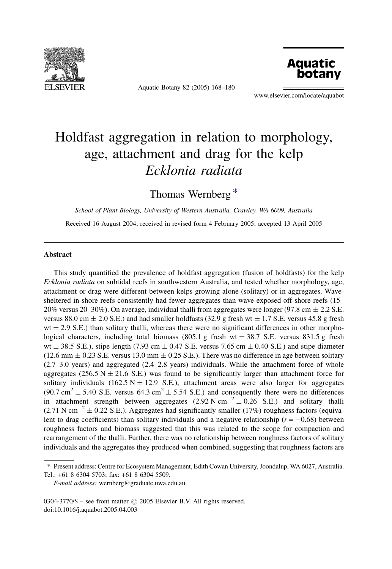

Aquatic Botany 82 (2005) 168–180



www.elsevier.com/locate/aquabot

# Holdfast aggregation in relation to morphology, age, attachment and drag for the kelp Ecklonia radiata

Thomas Wernberg \*

School of Plant Biology, University of Western Australia, Crawley, WA 6009, Australia Received 16 August 2004; received in revised form 4 February 2005; accepted 13 April 2005

### Abstract

This study quantified the prevalence of holdfast aggregation (fusion of holdfasts) for the kelp Ecklonia radiata on subtidal reefs in southwestern Australia, and tested whether morphology, age, attachment or drag were different between kelps growing alone (solitary) or in aggregates. Wavesheltered in-shore reefs consistently had fewer aggregates than wave-exposed off-shore reefs (15– 20% versus 20–30%). On average, individual thalli from aggregates were longer (97.8 cm  $\pm$  2.2 S.E. versus 88.0 cm  $\pm$  2.0 S.E.) and had smaller holdfasts (32.9 g fresh wt  $\pm$  1.7 S.E. versus 45.8 g fresh  $wt \pm 2.9$  S.E.) than solitary thalli, whereas there were no significant differences in other morphological characters, including total biomass (805.1 g fresh wt  $\pm$  38.7 S.E. versus 831.5 g fresh  $wt \pm 38.5$  S.E.), stipe length (7.93 cm  $\pm$  0.47 S.E. versus 7.65 cm  $\pm$  0.40 S.E.) and stipe diameter  $(12.6 \text{ mm} \pm 0.23 \text{ S.E.} \text{ versus } 13.0 \text{ mm} \pm 0.25 \text{ S.E.}).$  There was no difference in age between solitary (2.7–3.0 years) and aggregated (2.4–2.8 years) individuals. While the attachment force of whole aggregates (256.5 N  $\pm$  21.6 S.E.) was found to be significantly larger than attachment force for solitary individuals (162.5 N  $\pm$  12.9 S.E.), attachment areas were also larger for aggregates  $(90.7 \text{ cm}^2 \pm 5.40 \text{ S.E.} \text{ versus } 64.3 \text{ cm}^2 \pm 5.54 \text{ S.E.})$  and consequently there were no differences in attachment strength between aggregates  $(2.92 \text{ N cm}^{-2} \pm 0.26 \text{ S.E.})$  and solitary thalli  $(2.71 \text{ N cm}^{-2} \pm 0.22 \text{ S.E.})$ . Aggregates had significantly smaller (17%) roughness factors (equivalent to drag coefficients) than solitary individuals and a negative relationship ( $r = -0.68$ ) between roughness factors and biomass suggested that this was related to the scope for compaction and rearrangement of the thalli. Further, there was no relationship between roughness factors of solitary individuals and the aggregates they produced when combined, suggesting that roughness factors are

 $0304-3770/\$  – see front matter  $\odot$  2005 Elsevier B.V. All rights reserved. doi:10.1016/j.aquabot.2005.04.003

<sup>\*</sup> Present address: Centre for Ecosystem Management, Edith Cowan University, Joondalup, WA 6027, Australia. Tel.: +61 8 6304 5703; fax: +61 8 6304 5509.

E-mail address: wernberg@graduate.uwa.edu.au.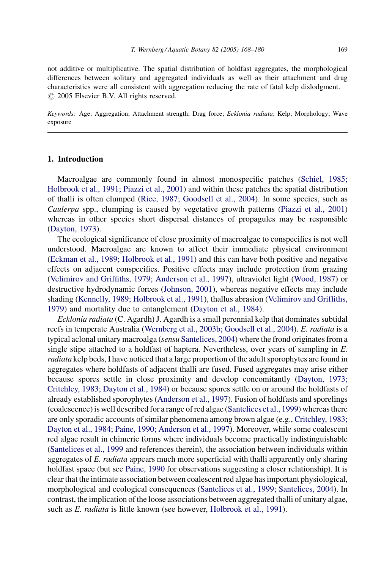not additive or multiplicative. The spatial distribution of holdfast aggregates, the morphological differences between solitary and aggregated individuals as well as their attachment and drag characteristics were all consistent with aggregation reducing the rate of fatal kelp dislodgment.  $\odot$  2005 Elsevier B.V. All rights reserved.

Keywords: Age; Aggregation; Attachment strength; Drag force; Ecklonia radiata; Kelp; Morphology; Wave exposure

### 1. Introduction

Macroalgae are commonly found in almost monospecific patches ([Schiel, 1985;](#page-12-0) [Holbrook et al., 1991; Piazzi et al., 2001](#page-12-0)) and within these patches the spatial distribution of thalli is often clumped [\(Rice, 1987; Goodsell et al., 2004\)](#page-12-0). In some species, such as Caulerpa spp., clumping is caused by vegetative growth patterns ([Piazzi et al., 2001](#page-12-0)) whereas in other species short dispersal distances of propagules may be responsible [\(Dayton, 1973](#page-11-0)).

The ecological significance of close proximity of macroalgae to conspecifics is not well understood. Macroalgae are known to affect their immediate physical environment [\(Eckman et al., 1989; Holbrook et al., 1991\)](#page-11-0) and this can have both positive and negative effects on adjacent conspecifics. Positive effects may include protection from grazing [\(Velimirov and Griffiths, 1979; Anderson et al., 1997](#page-12-0)), ultraviolet light [\(Wood, 1987\)](#page-12-0) or destructive hydrodynamic forces ([Johnson, 2001\)](#page-11-0), whereas negative effects may include shading [\(Kennelly, 1989; Holbrook et al., 1991\)](#page-11-0), thallus abrasion [\(Velimirov and Griffiths,](#page-12-0) [1979\)](#page-12-0) and mortality due to entanglement ([Dayton et al., 1984\)](#page-11-0).

Ecklonia radiata (C. Agardh) J. Agardh is a small perennial kelp that dominates subtidal reefs in temperate Australia ([Wernberg et al., 2003b; Goodsell et al., 2004\)](#page-12-0). E. radiata is a typical aclonal unitary macroalga (sensu [Santelices, 2004\)](#page-12-0) where the frond originates from a single stipe attached to a holdfast of haptera. Nevertheless, over years of sampling in E. radiata kelp beds, I have noticed that a large proportion of the adult sporophytes are found in aggregates where holdfasts of adjacent thalli are fused. Fused aggregates may arise either because spores settle in close proximity and develop concomitantly ([Dayton, 1973;](#page-11-0) [Critchley, 1983; Dayton et al., 1984](#page-11-0)) or because spores settle on or around the holdfasts of already established sporophytes [\(Anderson et al., 1997](#page-11-0)). Fusion of holdfasts and sporelings (coalescence) is well described for a range of red algae [\(Santelices et al., 1999](#page-12-0)) whereas there are only sporadic accounts of similar phenomena among brown algae (e.g., [Critchley, 1983;](#page-11-0) [Dayton et al., 1984; Paine, 1990; Anderson et al., 1997](#page-11-0)). Moreover, while some coalescent red algae result in chimeric forms where individuals become practically indistinguishable [\(Santelices et al., 1999](#page-12-0) and references therein), the association between individuals within aggregates of E. radiata appears much more superficial with thalli apparently only sharing holdfast space (but see [Paine, 1990](#page-12-0) for observations suggesting a closer relationship). It is clear that the intimate association between coalescent red algae has important physiological, morphological and ecological consequences [\(Santelices et al., 1999; Santelices, 2004](#page-12-0)). In contrast, the implication of the loose associations between aggregated thalli of unitary algae, such as E. radiata is little known (see however, [Holbrook et al., 1991](#page-11-0)).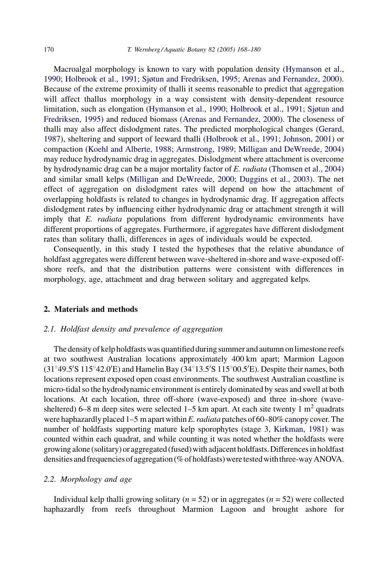Macroalgal morphology is known to vary with population density [\(Hymanson et al.,](#page-11-0) [1990; Holbrook et al., 1991; Sjøtun and Fredriksen, 1995; Arenas and Fernandez, 2000](#page-11-0)). Because of the extreme proximity of thalli it seems reasonable to predict that aggregation will affect thallus morphology in a way consistent with density-dependent resource limitation, such as elongation ([Hymanson et al., 1990; Holbrook et al., 1991; Sjøtun and](#page-11-0) [Fredriksen, 1995\)](#page-11-0) and reduced biomass [\(Arenas and Fernandez, 2000](#page-11-0)). The closeness of thalli may also affect dislodgment rates. The predicted morphological changes ([Gerard,](#page-11-0) [1987](#page-11-0)), sheltering and support of leeward thalli [\(Holbrook et al., 1991; Johnson, 2001](#page-11-0)) or compaction [\(Koehl and Alberte, 1988; Armstrong, 1989; Milligan and DeWreede, 2004\)](#page-11-0) may reduce hydrodynamic drag in aggregates. Dislodgment where attachment is overcome by hydrodynamic drag can be a major mortality factor of E. radiata ([Thomsen et al., 2004\)](#page-12-0) and similar small kelps ([Milligan and DeWreede, 2000; Duggins et al., 2003](#page-11-0)). The net effect of aggregation on dislodgment rates will depend on how the attachment of overlapping holdfasts is related to changes in hydrodynamic drag. If aggregation affects dislodgment rates by influencing either hydrodynamic drag or attachment strength it will imply that E. *radiata* populations from different hydrodynamic environments have different proportions of aggregates. Furthermore, if aggregates have different dislodgment rates than solitary thalli, differences in ages of individuals would be expected.

Consequently, in this study I tested the hypotheses that the relative abundance of holdfast aggregates were different between wave-sheltered in-shore and wave-exposed offshore reefs, and that the distribution patterns were consistent with differences in morphology, age, attachment and drag between solitary and aggregated kelps.

#### 2. Materials and methods

#### 2.1. Holdfast density and prevalence of aggregation

The density of kelp holdfasts was quantified during summer and autumn on limestone reefs at two southwest Australian locations approximately 400 km apart; Marmion Lagoon  $(31°49.5'S 115°42.0'E)$  and Hamelin Bay  $(34°13.5'S 115°00.5'E)$ . Despite their names, both locations represent exposed open coast environments. The southwest Australian coastline is micro-tidal so the hydrodynamic environment is entirely dominated by seas and swell at both locations. At each location, three off-shore (wave-exposed) and three in-shore (wavesheltered) 6–8 m deep sites were selected 1–5 km apart. At each site twenty 1  $m<sup>2</sup>$  quadrats were haphazardly placed  $1-5$  m apart within E. *radiata* patches of 60–80% canopy cover. The number of holdfasts supporting mature kelp sporophytes (stage 3, [Kirkman, 1981](#page-11-0)) was counted within each quadrat, and while counting it was noted whether the holdfasts were growing alone(solitary) or aggregated (fused) with adjacent holdfasts. Differences in holdfast densities and frequencies of aggregation (% of holdfasts) were tested with three-way ANOVA.

#### 2.2. Morphology and age

Individual kelp thalli growing solitary ( $n = 52$ ) or in aggregates ( $n = 52$ ) were collected haphazardly from reefs throughout Marmion Lagoon and brought ashore for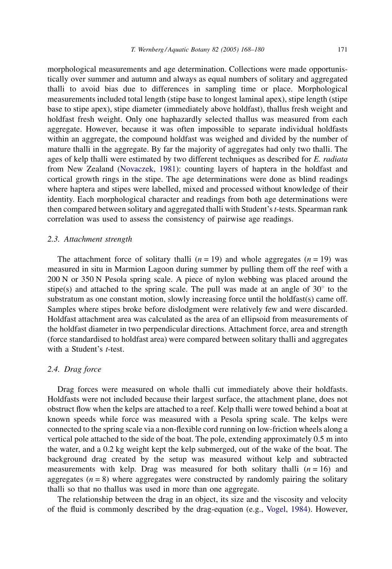morphological measurements and age determination. Collections were made opportunistically over summer and autumn and always as equal numbers of solitary and aggregated thalli to avoid bias due to differences in sampling time or place. Morphological measurements included total length (stipe base to longest laminal apex), stipe length (stipe base to stipe apex), stipe diameter (immediately above holdfast), thallus fresh weight and holdfast fresh weight. Only one haphazardly selected thallus was measured from each aggregate. However, because it was often impossible to separate individual holdfasts within an aggregate, the compound holdfast was weighed and divided by the number of mature thalli in the aggregate. By far the majority of aggregates had only two thalli. The ages of kelp thalli were estimated by two different techniques as described for E. radiata from New Zealand ([Novaczek, 1981](#page-12-0)): counting layers of haptera in the holdfast and cortical growth rings in the stipe. The age determinations were done as blind readings where haptera and stipes were labelled, mixed and processed without knowledge of their identity. Each morphological character and readings from both age determinations were then compared between solitary and aggregated thalli with Student's t-tests. Spearman rank correlation was used to assess the consistency of pairwise age readings.

#### 2.3. Attachment strength

The attachment force of solitary thalli  $(n = 19)$  and whole aggregates  $(n = 19)$  was measured in situ in Marmion Lagoon during summer by pulling them off the reef with a 200 N or 350 N Pesola spring scale. A piece of nylon webbing was placed around the stipe(s) and attached to the spring scale. The pull was made at an angle of  $30^{\circ}$  to the substratum as one constant motion, slowly increasing force until the holdfast(s) came off. Samples where stipes broke before dislodgment were relatively few and were discarded. Holdfast attachment area was calculated as the area of an ellipsoid from measurements of the holdfast diameter in two perpendicular directions. Attachment force, area and strength (force standardised to holdfast area) were compared between solitary thalli and aggregates with a Student's *t*-test.

#### 2.4. Drag force

Drag forces were measured on whole thalli cut immediately above their holdfasts. Holdfasts were not included because their largest surface, the attachment plane, does not obstruct flow when the kelps are attached to a reef. Kelp thalli were towed behind a boat at known speeds while force was measured with a Pesola spring scale. The kelps were connected to the spring scale via a non-flexible cord running on low-friction wheels along a vertical pole attached to the side of the boat. The pole, extending approximately 0.5 m into the water, and a 0.2 kg weight kept the kelp submerged, out of the wake of the boat. The background drag created by the setup was measured without kelp and subtracted measurements with kelp. Drag was measured for both solitary thalli  $(n = 16)$  and aggregates  $(n = 8)$  where aggregates were constructed by randomly pairing the solitary thalli so that no thallus was used in more than one aggregate.

The relationship between the drag in an object, its size and the viscosity and velocity of the fluid is commonly described by the drag-equation (e.g., [Vogel, 1984\)](#page-12-0). However,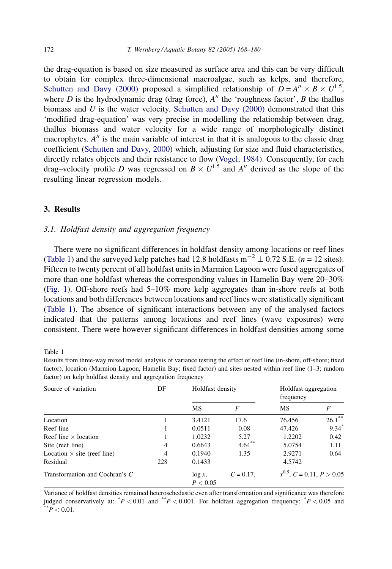the drag-equation is based on size measured as surface area and this can be very difficult to obtain for complex three-dimensional macroalgae, such as kelps, and therefore, [Schutten and Davy \(2000\)](#page-12-0) proposed a simplified relationship of  $D = A'' \times B \times U^{1.5}$ , where  $D$  is the hydrodynamic drag (drag force),  $A''$  the 'roughness factor',  $B$  the thallus biomass and  $U$  is the water velocity. [Schutten and Davy \(2000\)](#page-12-0) demonstrated that this 'modified drag-equation' was very precise in modelling the relationship between drag, thallus biomass and water velocity for a wide range of morphologically distinct macrophytes.  $A''$  is the main variable of interest in that it is analogous to the classic drag coefficient ([Schutten and Davy, 2000\)](#page-12-0) which, adjusting for size and fluid characteristics, directly relates objects and their resistance to flow [\(Vogel, 1984\)](#page-12-0). Consequently, for each drag–velocity profile D was regressed on  $B \times U^{1.5}$  and A'' derived as the slope of the resulting linear regression models.

# 3. Results

# 3.1. Holdfast density and aggregation frequency

There were no significant differences in holdfast density among locations or reef lines (Table 1) and the surveyed kelp patches had 12.8 holdfasts  $m^{-2} \pm 0.72$  S.E. (*n* = 12 sites). Fifteen to twenty percent of all holdfast units in Marmion Lagoon were fused aggregates of more than one holdfast whereas the corresponding values in Hamelin Bay were 20–30% ([Fig. 1\)](#page-5-0). Off-shore reefs had 5–10% more kelp aggregates than in-shore reefs at both locations and both differences between locations and reef lines were statistically significant (Table 1). The absence of significant interactions between any of the analysed factors indicated that the patterns among locations and reef lines (wave exposures) were consistent. There were however significant differences in holdfast densities among some

Table 1

| factor) on kelp holdfast density and aggregation frequency |                |                  |              |                                   |           |
|------------------------------------------------------------|----------------|------------------|--------------|-----------------------------------|-----------|
| Source of variation                                        | DF             | Holdfast density |              | Holdfast aggregation<br>frequency |           |
|                                                            |                | MS               | F            | <b>MS</b>                         | F         |
| Location                                                   |                | 3.4121           | 17.6         | 76.456                            | $26.1***$ |
| Reef line                                                  |                | 0.0511           | 0.08         | 47.426                            | $9.34*$   |
| Reef line $\times$ location                                |                | 1.0232           | 5.27         | 1.2202                            | 0.42      |
| Site (reef line)                                           | $\overline{4}$ | 0.6643           | $4.64***$    | 5.0754                            | 1.11      |
| Location $\times$ site (reef line)                         | $\overline{4}$ | 0.1940           | 1.35         | 2.9271                            | 0.64      |
| Residual                                                   | 228            | 0.1433           |              | 4.5742                            |           |
| Transformation and Cochran's C                             |                | $\log x$ ,       | $C = 0.17$ . | $x^{0.5}$ , C = 0.11, P > 0.05    |           |

Results from three-way mixed model analysis of variance testing the effect of reef line (in-shore, off-shore; fixed factor), location (Marmion Lagoon, Hamelin Bay; fixed factor) and sites nested within reef line (1–3; random

Variance of holdfast densities remained heteroschedastic even after transformation and significance was therefore judged conservatively at:  $^*P < 0.01$  and  $^{**}P < 0.001$ . For holdfast aggregation frequency:  $^*P < 0.05$  and  $^{**}P < 0.01$ .

 $P < 0.05$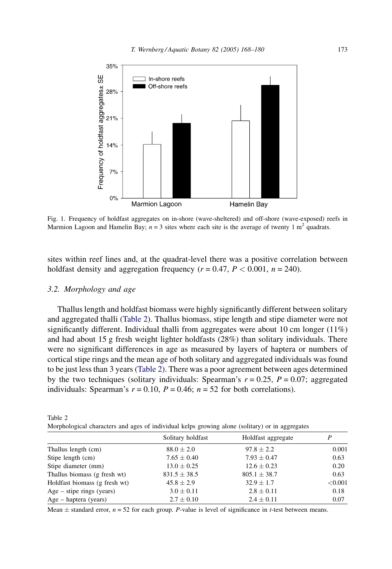<span id="page-5-0"></span>

Fig. 1. Frequency of holdfast aggregates on in-shore (wave-sheltered) and off-shore (wave-exposed) reefs in Marmion Lagoon and Hamelin Bay;  $n = 3$  sites where each site is the average of twenty 1 m<sup>2</sup> quadrats.

sites within reef lines and, at the quadrat-level there was a positive correlation between holdfast density and aggregation frequency ( $r = 0.47$ ,  $P < 0.001$ ,  $n = 240$ ).

# 3.2. Morphology and age

Thallus length and holdfast biomass were highly significantly different between solitary and aggregated thalli (Table 2). Thallus biomass, stipe length and stipe diameter were not significantly different. Individual thalli from aggregates were about 10 cm longer  $(11\%)$ and had about 15 g fresh weight lighter holdfasts (28%) than solitary individuals. There were no significant differences in age as measured by layers of haptera or numbers of cortical stipe rings and the mean age of both solitary and aggregated individuals was found to be just less than 3 years (Table 2). There was a poor agreement between ages determined by the two techniques (solitary individuals: Spearman's  $r = 0.25$ ,  $P = 0.07$ ; aggregated individuals: Spearman's  $r = 0.10$ ,  $P = 0.46$ ;  $n = 52$  for both correlations).

| Table 2 |  |                                                                                                 |
|---------|--|-------------------------------------------------------------------------------------------------|
|         |  | Morphological characters and ages of individual kelps growing alone (solitary) or in aggregates |

|                               | Solitary holdfast | Holdfast aggregate | P       |
|-------------------------------|-------------------|--------------------|---------|
| Thallus length (cm)           | $88.0 \pm 2.0$    | $97.8 \pm 2.2$     | 0.001   |
| Stipe length (cm)             | $7.65 \pm 0.40$   | $7.93 \pm 0.47$    | 0.63    |
| Stipe diameter (mm)           | $13.0 \pm 0.25$   | $12.6 \pm 0.23$    | 0.20    |
| Thallus biomass (g fresh wt)  | $831.5 \pm 38.5$  | $805.1 \pm 38.7$   | 0.63    |
| Holdfast biomass (g fresh wt) | $45.8 \pm 2.9$    | $32.9 \pm 1.7$     | < 0.001 |
| $Age - stipe rings (years)$   | $3.0 \pm 0.11$    | $2.8 \pm 0.11$     | 0.18    |
| Age – haptera (years)         | $2.7 \pm 0.10$    | $2.4 \pm 0.11$     | 0.07    |

Mean  $\pm$  standard error,  $n = 52$  for each group. P-value is level of significance in t-test between means.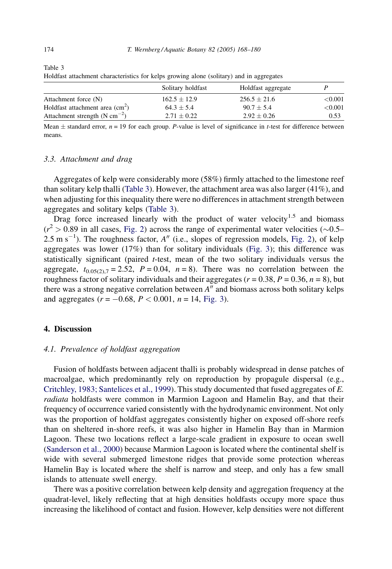|                                                        | Solitary holdfast | Holdfast aggregate |            |  |
|--------------------------------------------------------|-------------------|--------------------|------------|--|
| Attachment force (N)                                   | $162.5 \pm 12.9$  | $256.5 \pm 21.6$   | ${<}0.001$ |  |
| Holdfast attachment area $\text{cm}^2$ )               | $64.3 + 5.4$      | $90.7 + 5.4$       | < 0.001    |  |
| Attachment strength (N cm <sup><math>-2</math></sup> ) | $2.71 \pm 0.22$   | $2.92 \pm 0.26$    | 0.53       |  |

Holdfast attachment characteristics for kelps growing alone (solitary) and in aggregates

Mean  $\pm$  standard error,  $n = 19$  for each group. P-value is level of significance in t-test for difference between means.

#### 3.3. Attachment and drag

Aggregates of kelp were considerably more (58%) firmly attached to the limestone reef than solitary kelp thalli (Table 3). However, the attachment area was also larger (41%), and when adjusting for this inequality there were no differences in attachment strength between aggregates and solitary kelps (Table 3).

Drag force increased linearly with the product of water velocity<sup>1.5</sup> and biomass  $(r^2 > 0.89$  in all cases, [Fig. 2](#page-7-0)) across the range of experimental water velocities ( $\sim 0.5 2.5 \text{ m s}^{-1}$ ). The roughness factor,  $A''$  (i.e., slopes of regression models, [Fig. 2](#page-7-0)), of kelp aggregates was lower  $(17%)$  than for solitary individuals [\(Fig. 3](#page-8-0)); this difference was statistically significant (paired  $t$ -test, mean of the two solitary individuals versus the aggregate,  $t_{0.05(2),7} = 2.52$ ,  $P = 0.04$ ,  $n = 8$ ). There was no correlation between the roughness factor of solitary individuals and their aggregates ( $r = 0.38$ ,  $P = 0.36$ ,  $n = 8$ ), but there was a strong negative correlation between  $A''$  and biomass across both solitary kelps and aggregates  $(r = -0.68, P < 0.001, n = 14, Fig. 3)$  $(r = -0.68, P < 0.001, n = 14, Fig. 3)$  $(r = -0.68, P < 0.001, n = 14, Fig. 3)$ .

## 4. Discussion

## 4.1. Prevalence of holdfast aggregation

Fusion of holdfasts between adjacent thalli is probably widespread in dense patches of macroalgae, which predominantly rely on reproduction by propagule dispersal (e.g., [Critchley, 1983; Santelices et al., 1999](#page-11-0)). This study documented that fused aggregates of E. radiata holdfasts were common in Marmion Lagoon and Hamelin Bay, and that their frequency of occurrence varied consistently with the hydrodynamic environment. Not only was the proportion of holdfast aggregates consistently higher on exposed off-shore reefs than on sheltered in-shore reefs, it was also higher in Hamelin Bay than in Marmion Lagoon. These two locations reflect a large-scale gradient in exposure to ocean swell ([Sanderson et al., 2000](#page-12-0)) because Marmion Lagoon is located where the continental shelf is wide with several submerged limestone ridges that provide some protection whereas Hamelin Bay is located where the shelf is narrow and steep, and only has a few small islands to attenuate swell energy.

There was a positive correlation between kelp density and aggregation frequency at the quadrat-level, likely reflecting that at high densities holdfasts occupy more space thus increasing the likelihood of contact and fusion. However, kelp densities were not different

Table 3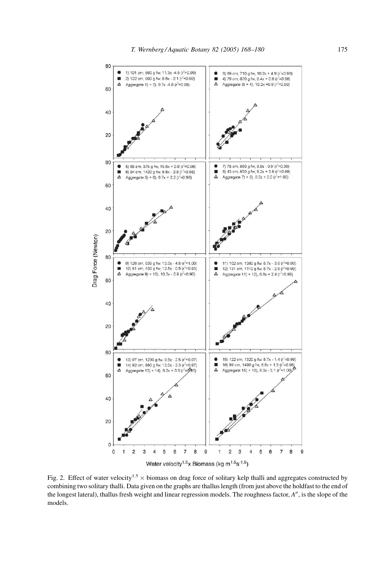<span id="page-7-0"></span>

Fig. 2. Effect of water velocity<sup>1.5</sup>  $\times$  biomass on drag force of solitary kelp thalli and aggregates constructed by combining two solitary thalli. Data given on the graphs are thallus length (from just above the holdfast to the end of the longest lateral), thallus fresh weight and linear regression models. The roughness factor,  $A''$ , is the slope of the models.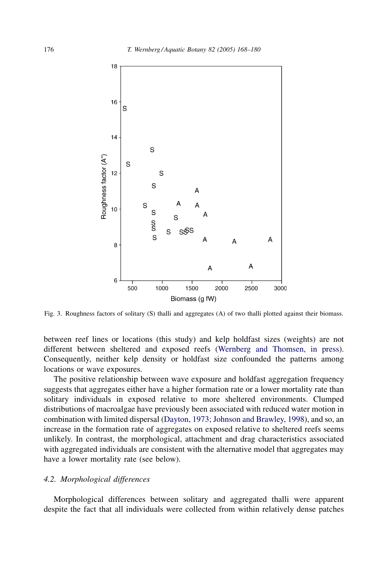<span id="page-8-0"></span>

Fig. 3. Roughness factors of solitary (S) thalli and aggregates (A) of two thalli plotted against their biomass.

between reef lines or locations (this study) and kelp holdfast sizes (weights) are not different between sheltered and exposed reefs ([Wernberg and Thomsen, in press](#page-12-0)). Consequently, neither kelp density or holdfast size confounded the patterns among locations or wave exposures.

The positive relationship between wave exposure and holdfast aggregation frequency suggests that aggregates either have a higher formation rate or a lower mortality rate than solitary individuals in exposed relative to more sheltered environments. Clumped distributions of macroalgae have previously been associated with reduced water motion in combination with limited dispersal ([Dayton, 1973; Johnson and Brawley, 1998\)](#page-11-0), and so, an increase in the formation rate of aggregates on exposed relative to sheltered reefs seems unlikely. In contrast, the morphological, attachment and drag characteristics associated with aggregated individuals are consistent with the alternative model that aggregates may have a lower mortality rate (see below).

## 4.2. Morphological differences

Morphological differences between solitary and aggregated thalli were apparent despite the fact that all individuals were collected from within relatively dense patches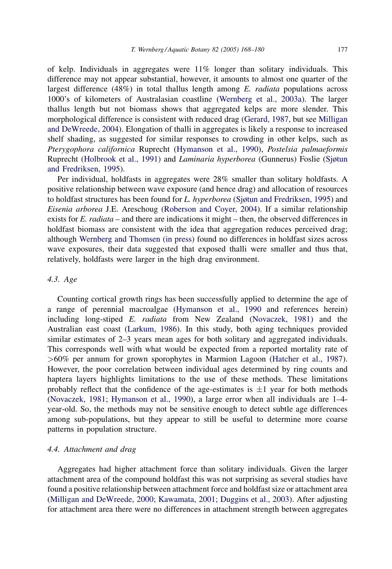of kelp. Individuals in aggregates were 11% longer than solitary individuals. This difference may not appear substantial, however, it amounts to almost one quarter of the largest difference  $(48%)$  in total thallus length among E. *radiata* populations across 1000's of kilometers of Australasian coastline ([Wernberg et al., 2003a](#page-12-0)). The larger thallus length but not biomass shows that aggregated kelps are more slender. This morphological difference is consistent with reduced drag ([Gerard, 1987,](#page-11-0) but see [Milligan](#page-11-0) [and DeWreede, 2004\)](#page-11-0). Elongation of thalli in aggregates is likely a response to increased shelf shading, as suggested for similar responses to crowding in other kelps, such as Pterygophora californica Ruprecht [\(Hymanson et al., 1990\)](#page-11-0), Postelsia palmaeformis Ruprecht [\(Holbrook et al., 1991\)](#page-11-0) and Laminaria hyperborea (Gunnerus) Foslie [\(Sjøtun](#page-12-0) [and Fredriksen, 1995](#page-12-0)).

Per individual, holdfasts in aggregates were 28% smaller than solitary holdfasts. A positive relationship between wave exposure (and hence drag) and allocation of resources to holdfast structures has been found for L. hyperborea ([Sjøtun and Fredriksen, 1995](#page-12-0)) and Eisenia arborea J.E. Areschoug [\(Roberson and Coyer, 2004](#page-12-0)). If a similar relationship exists for E. radiata – and there are indications it might – then, the observed differences in holdfast biomass are consistent with the idea that aggregation reduces perceived drag; although [Wernberg and Thomsen \(in press\)](#page-12-0) found no differences in holdfast sizes across wave exposures, their data suggested that exposed thalli were smaller and thus that, relatively, holdfasts were larger in the high drag environment.

# 4.3. Age

Counting cortical growth rings has been successfully applied to determine the age of a range of perennial macroalgae [\(Hymanson et al., 1990](#page-11-0) and references herein) including long-stiped E. radiata from New Zealand ([Novaczek, 1981\)](#page-12-0) and the Australian east coast [\(Larkum, 1986](#page-11-0)). In this study, both aging techniques provided similar estimates of 2–3 years mean ages for both solitary and aggregated individuals. This corresponds well with what would be expected from a reported mortality rate of >60% per annum for grown sporophytes in Marmion Lagoon [\(Hatcher et al., 1987](#page-11-0)). However, the poor correlation between individual ages determined by ring counts and haptera layers highlights limitations to the use of these methods. These limitations probably reflect that the confidence of the age-estimates is  $\pm 1$  year for both methods [\(Novaczek, 1981; Hymanson et al., 1990\)](#page-12-0), a large error when all individuals are 1–4 year-old. So, the methods may not be sensitive enough to detect subtle age differences among sub-populations, but they appear to still be useful to determine more coarse patterns in population structure.

## 4.4. Attachment and drag

Aggregates had higher attachment force than solitary individuals. Given the larger attachment area of the compound holdfast this was not surprising as several studies have found a positive relationship between attachment force and holdfast size or attachment area [\(Milligan and DeWreede, 2000; Kawamata, 2001; Duggins et al., 2003\)](#page-11-0). After adjusting for attachment area there were no differences in attachment strength between aggregates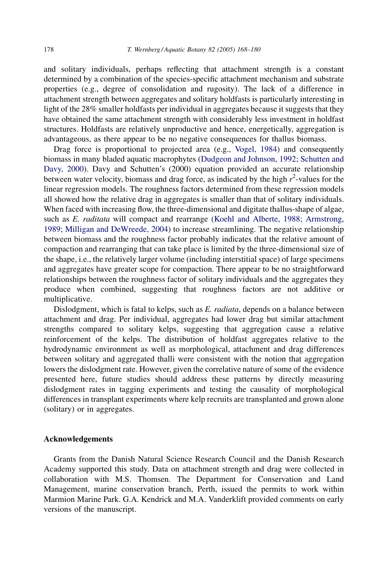and solitary individuals, perhaps reflecting that attachment strength is a constant determined by a combination of the species-specific attachment mechanism and substrate properties (e.g., degree of consolidation and rugosity). The lack of a difference in attachment strength between aggregates and solitary holdfasts is particularly interesting in light of the 28% smaller holdfasts per individual in aggregates because it suggests that they have obtained the same attachment strength with considerably less investment in holdfast structures. Holdfasts are relatively unproductive and hence, energetically, aggregation is advantageous, as there appear to be no negative consequences for thallus biomass.

Drag force is proportional to projected area (e.g., [Vogel, 1984\)](#page-12-0) and consequently biomass in many bladed aquatic macrophytes [\(Dudgeon and Johnson, 1992;](#page-11-0) [Schutten and](#page-12-0) [Davy, 2000](#page-12-0)). Davy and Schutten's (2000) equation provided an accurate relationship between water velocity, biomass and drag force, as indicated by the high  $r^2$ -values for the linear regression models. The roughness factors determined from these regression models all showed how the relative drag in aggregates is smaller than that of solitary individuals. When faced with increasing flow, the three-dimensional and digitate thallus-shape of algae, such as E. raditata will compact and rearrange ([Koehl and Alberte, 1988; Armstrong,](#page-11-0) [1989; Milligan and DeWreede, 2004\)](#page-11-0) to increase streamlining. The negative relationship between biomass and the roughness factor probably indicates that the relative amount of compaction and rearranging that can take place is limited by the three-dimensional size of the shape, i.e., the relatively larger volume (including interstitial space) of large specimens and aggregates have greater scope for compaction. There appear to be no straightforward relationships between the roughness factor of solitary individuals and the aggregates they produce when combined, suggesting that roughness factors are not additive or multiplicative.

Dislodgment, which is fatal to kelps, such as E. *radiata*, depends on a balance between attachment and drag. Per individual, aggregates had lower drag but similar attachment strengths compared to solitary kelps, suggesting that aggregation cause a relative reinforcement of the kelps. The distribution of holdfast aggregates relative to the hydrodynamic environment as well as morphological, attachment and drag differences between solitary and aggregated thalli were consistent with the notion that aggregation lowers the dislodgment rate. However, given the correlative nature of some of the evidence presented here, future studies should address these patterns by directly measuring dislodgment rates in tagging experiments and testing the causality of morphological differences in transplant experiments where kelp recruits are transplanted and grown alone (solitary) or in aggregates.

## Acknowledgements

Grants from the Danish Natural Science Research Council and the Danish Research Academy supported this study. Data on attachment strength and drag were collected in collaboration with M.S. Thomsen. The Department for Conservation and Land Management, marine conservation branch, Perth, issued the permits to work within Marmion Marine Park. G.A. Kendrick and M.A. Vanderklift provided comments on early versions of the manuscript.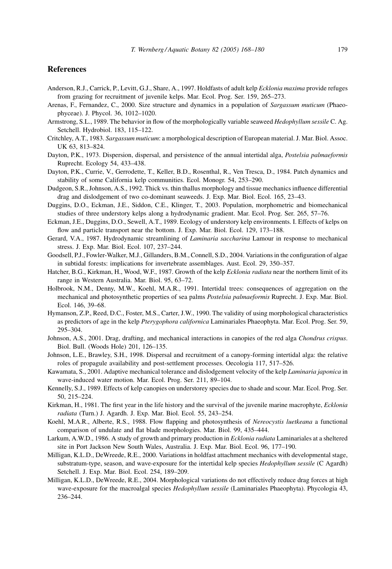# <span id="page-11-0"></span>References

- Anderson, R.J., Carrick, P., Levitt, G.J., Share, A., 1997. Holdfasts of adult kelp Ecklonia maxima provide refuges from grazing for recruitment of juvenile kelps. Mar. Ecol. Prog. Ser. 159, 265–273.
- Arenas, F., Fernandez, C., 2000. Size structure and dynamics in a population of Sargassum muticum (Phaeophyceae). J. Phycol. 36, 1012–1020.
- Armstrong, S.L., 1989. The behavior in flow of the morphologically variable seaweed *Hedophyllum sessile* C. Ag. Setchell. Hydrobiol. 183, 115–122.
- Critchley, A.T., 1983. Sargassum muticum: a morphological description of European material. J. Mar. Biol. Assoc. UK 63, 813–824.
- Dayton, P.K., 1973. Dispersion, dispersal, and persistence of the annual intertidal alga, Postelsia palmaeformis Ruprecht. Ecology 54, 433–438.
- Dayton, P.K., Currie, V., Gerrodette, T., Keller, B.D., Rosenthal, R., Ven Tresca, D., 1984. Patch dynamics and stability of some California kelp communities. Ecol. Monogr. 54, 253–290.
- Dudgeon, S.R., Johnson, A.S., 1992. Thick vs. thin thallus morphology and tissue mechanics influence differential drag and dislodgement of two co-dominant seaweeds. J. Exp. Mar. Biol. Ecol. 165, 23–43.
- Duggins, D.O., Eckman, J.E., Siddon, C.E., Klinger, T., 2003. Population, morphometric and biomechanical studies of three understory kelps along a hydrodynamic gradient. Mar. Ecol. Prog. Ser. 265, 57–76.
- Eckman, J.E., Duggins, D.O., Sewell, A.T., 1989. Ecology of understory kelp environments. I. Effects of kelps on flow and particle transport near the bottom. J. Exp. Mar. Biol. Ecol. 129, 173–188.
- Gerard, V.A., 1987. Hydrodynamic streamlining of Laminaria saccharina Lamour in response to mechanical stress. J. Exp. Mar. Biol. Ecol. 107, 237–244.
- Goodsell, P.J., Fowler-Walker, M.J., Gillanders, B.M., Connell, S.D., 2004. Variations in the configuration of algae in subtidal forests: implications for invertebrate assemblages. Aust. Ecol. 29, 350–357.
- Hatcher, B.G., Kirkman, H., Wood, W.F., 1987. Growth of the kelp Ecklonia radiata near the northern limit of its range in Western Australia. Mar. Biol. 95, 63–72.
- Holbrook, N.M., Denny, M.W., Koehl, M.A.R., 1991. Intertidal trees: consequences of aggregation on the mechanical and photosynthetic properties of sea palms Postelsia palmaeformis Ruprecht. J. Exp. Mar. Biol. Ecol. 146, 39–68.
- Hymanson, Z.P., Reed, D.C., Foster, M.S., Carter, J.W., 1990. The validity of using morphological characteristics as predictors of age in the kelp Pterygophora californica Laminariales Phaeophyta. Mar. Ecol. Prog. Ser. 59, 295–304.
- Johnson, A.S., 2001. Drag, drafting, and mechanical interactions in canopies of the red alga Chondrus crispus. Biol. Bull. (Woods Hole) 201, 126–135.
- Johnson, L.E., Brawley, S.H., 1998. Dispersal and recruitment of a canopy-forming intertidal alga: the relative roles of propagule availability and post-settlement processes. Oecologia 117, 517–526.
- Kawamata, S., 2001. Adaptive mechanical tolerance and dislodgement velocity of the kelp Laminaria japonica in wave-induced water motion. Mar. Ecol. Prog. Ser. 211, 89–104.
- Kennelly, S.J., 1989. Effects of kelp canopies on understorey species due to shade and scour. Mar. Ecol. Prog. Ser. 50, 215–224.
- Kirkman, H., 1981. The first year in the life history and the survival of the juvenile marine macrophyte, *Ecklonia* radiata (Turn.) J. Agardh. J. Exp. Mar. Biol. Ecol. 55, 243–254.
- Koehl, M.A.R., Alberte, R.S., 1988. Flow flapping and photosynthesis of Nereocystis luetkeana a functional comparison of undulate and flat blade morphologies. Mar. Biol. 99, 435–444.
- Larkum, A.W.D., 1986. A study of growth and primary production in Ecklonia radiata Laminariales at a sheltered site in Port Jackson New South Wales, Australia. J. Exp. Mar. Biol. Ecol. 96, 177–190.
- Milligan, K.L.D., DeWreede, R.E., 2000. Variations in holdfast attachment mechanics with developmental stage, substratum-type, season, and wave-exposure for the intertidal kelp species Hedophyllum sessile (C Agardh) Setchell. J. Exp. Mar. Biol. Ecol. 254, 189–209.
- Milligan, K.L.D., DeWreede, R.E., 2004. Morphological variations do not effectively reduce drag forces at high wave-exposure for the macroalgal species *Hedophyllum sessile* (Laminariales Phaeophyta). Phycologia 43, 236–244.